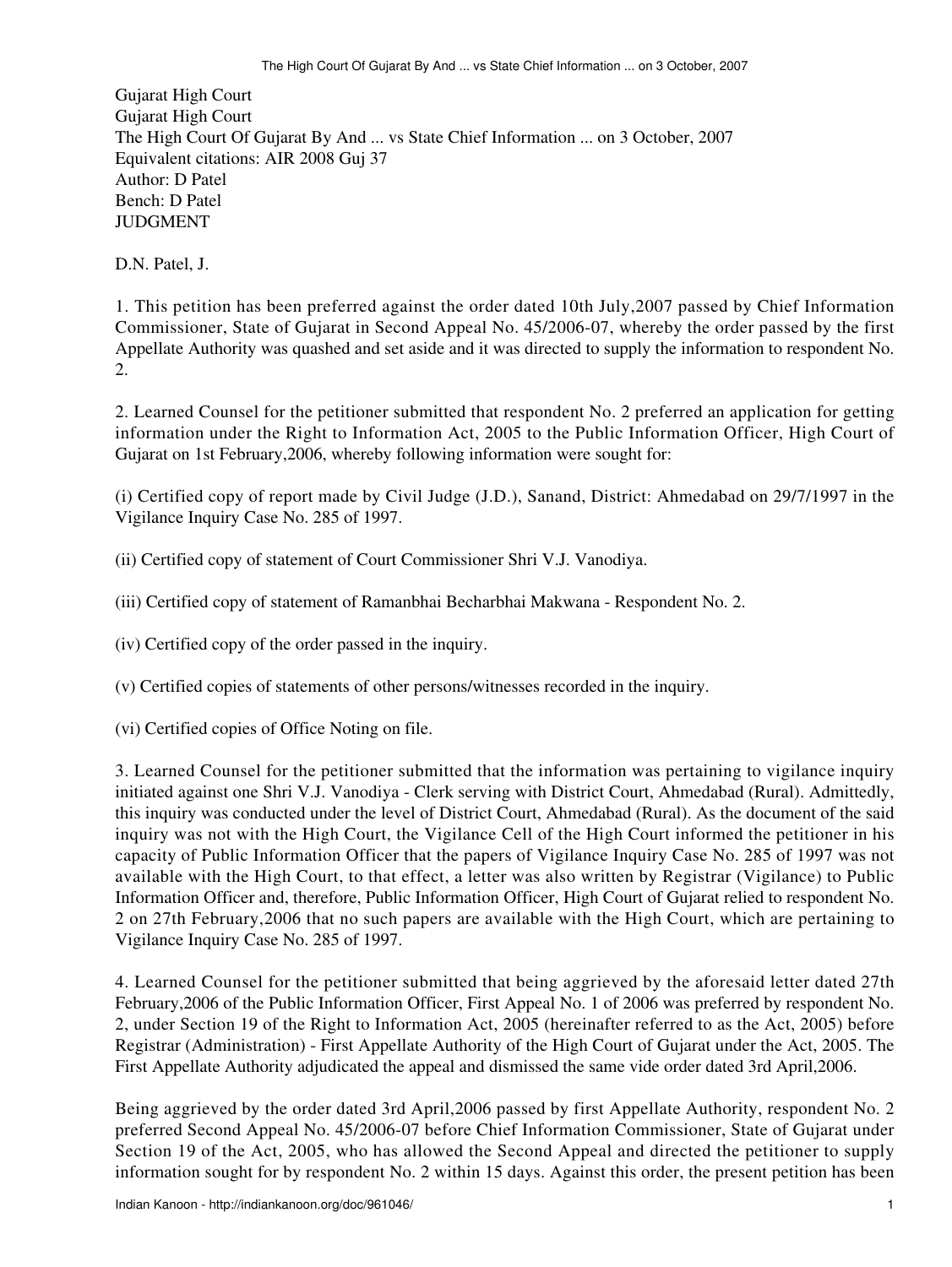Gujarat High Court Gujarat High Court The High Court Of Gujarat By And ... vs State Chief Information ... on 3 October, 2007 Equivalent citations: AIR 2008 Guj 37 Author: D Patel Bench: D Patel JUDGMENT

D.N. Patel, J.

1. This petition has been preferred against the order dated 10th July,2007 passed by Chief Information Commissioner, State of Gujarat in Second Appeal No. 45/2006-07, whereby the order passed by the first Appellate Authority was quashed and set aside and it was directed to supply the information to respondent No. 2.

2. Learned Counsel for the petitioner submitted that respondent No. 2 preferred an application for getting information under the Right to Information Act, 2005 to the Public Information Officer, High Court of Gujarat on 1st February,2006, whereby following information were sought for:

(i) Certified copy of report made by Civil Judge (J.D.), Sanand, District: Ahmedabad on 29/7/1997 in the Vigilance Inquiry Case No. 285 of 1997.

(ii) Certified copy of statement of Court Commissioner Shri V.J. Vanodiya.

(iii) Certified copy of statement of Ramanbhai Becharbhai Makwana - Respondent No. 2.

(iv) Certified copy of the order passed in the inquiry.

(v) Certified copies of statements of other persons/witnesses recorded in the inquiry.

(vi) Certified copies of Office Noting on file.

3. Learned Counsel for the petitioner submitted that the information was pertaining to vigilance inquiry initiated against one Shri V.J. Vanodiya - Clerk serving with District Court, Ahmedabad (Rural). Admittedly, this inquiry was conducted under the level of District Court, Ahmedabad (Rural). As the document of the said inquiry was not with the High Court, the Vigilance Cell of the High Court informed the petitioner in his capacity of Public Information Officer that the papers of Vigilance Inquiry Case No. 285 of 1997 was not available with the High Court, to that effect, a letter was also written by Registrar (Vigilance) to Public Information Officer and, therefore, Public Information Officer, High Court of Gujarat relied to respondent No. 2 on 27th February,2006 that no such papers are available with the High Court, which are pertaining to Vigilance Inquiry Case No. 285 of 1997.

4. Learned Counsel for the petitioner submitted that being aggrieved by the aforesaid letter dated 27th February,2006 of the Public Information Officer, First Appeal No. 1 of 2006 was preferred by respondent No. 2, under Section 19 of the Right to Information Act, 2005 (hereinafter referred to as the Act, 2005) before Registrar (Administration) - First Appellate Authority of the High Court of Gujarat under the Act, 2005. The First Appellate Authority adjudicated the appeal and dismissed the same vide order dated 3rd April,2006.

Being aggrieved by the order dated 3rd April,2006 passed by first Appellate Authority, respondent No. 2 preferred Second Appeal No. 45/2006-07 before Chief Information Commissioner, State of Gujarat under Section 19 of the Act, 2005, who has allowed the Second Appeal and directed the petitioner to supply information sought for by respondent No. 2 within 15 days. Against this order, the present petition has been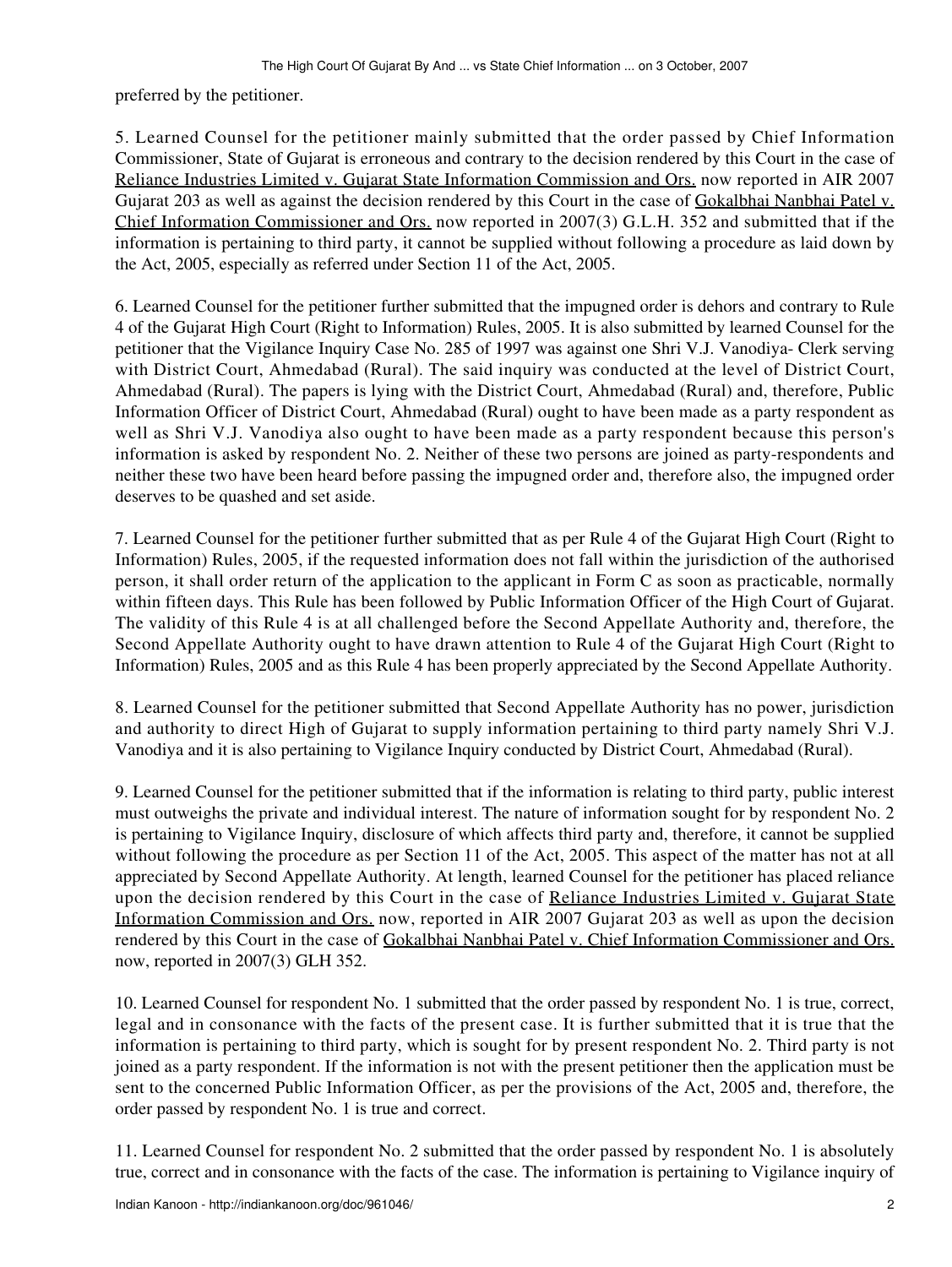preferred by the petitioner.

5. Learned Counsel for the petitioner mainly submitted that the order passed by Chief Information Commissioner, State of Gujarat is erroneous and contrary to the decision rendered by this Court in the case of Reliance Industries Limited v. Gujarat State Information Commission and Ors. now reported in AIR 2007 Gujarat 203 as well as against the decision rendered by this Court in the case of Gokalbhai Nanbhai Patel v. Chief Information Commissioner and Ors. now reported in 2007(3) G.L.H. 352 and submitted that if the information is pertaining to third party, it cannot be supplied without following a procedure as laid down by the Act, 2005, especially as referred under Section 11 of the Act, 2005.

6. Learned Counsel for the petitioner further submitted that the impugned order is dehors and contrary to Rule 4 of the Gujarat High Court (Right to Information) Rules, 2005. It is also submitted by learned Counsel for the petitioner that the Vigilance Inquiry Case No. 285 of 1997 was against one Shri V.J. Vanodiya- Clerk serving with District Court, Ahmedabad (Rural). The said inquiry was conducted at the level of District Court, Ahmedabad (Rural). The papers is lying with the District Court, Ahmedabad (Rural) and, therefore, Public Information Officer of District Court, Ahmedabad (Rural) ought to have been made as a party respondent as well as Shri V.J. Vanodiya also ought to have been made as a party respondent because this person's information is asked by respondent No. 2. Neither of these two persons are joined as party-respondents and neither these two have been heard before passing the impugned order and, therefore also, the impugned order deserves to be quashed and set aside.

7. Learned Counsel for the petitioner further submitted that as per Rule 4 of the Gujarat High Court (Right to Information) Rules, 2005, if the requested information does not fall within the jurisdiction of the authorised person, it shall order return of the application to the applicant in Form C as soon as practicable, normally within fifteen days. This Rule has been followed by Public Information Officer of the High Court of Gujarat. The validity of this Rule 4 is at all challenged before the Second Appellate Authority and, therefore, the Second Appellate Authority ought to have drawn attention to Rule 4 of the Gujarat High Court (Right to Information) Rules, 2005 and as this Rule 4 has been properly appreciated by the Second Appellate Authority.

8. Learned Counsel for the petitioner submitted that Second Appellate Authority has no power, jurisdiction and authority to direct High of Gujarat to supply information pertaining to third party namely Shri V.J. Vanodiya and it is also pertaining to Vigilance Inquiry conducted by District Court, Ahmedabad (Rural).

9. Learned Counsel for the petitioner submitted that if the information is relating to third party, public interest must outweighs the private and individual interest. The nature of information sought for by respondent No. 2 is pertaining to Vigilance Inquiry, disclosure of which affects third party and, therefore, it cannot be supplied without following the procedure as per Section 11 of the Act, 2005. This aspect of the matter has not at all appreciated by Second Appellate Authority. At length, learned Counsel for the petitioner has placed reliance upon the decision rendered by this Court in the case of Reliance Industries Limited v. Gujarat State Information Commission and Ors. now, reported in AIR 2007 Gujarat 203 as well as upon the decision rendered by this Court in the case of Gokalbhai Nanbhai Patel v. Chief Information Commissioner and Ors. now, reported in 2007(3) GLH 352.

10. Learned Counsel for respondent No. 1 submitted that the order passed by respondent No. 1 is true, correct, legal and in consonance with the facts of the present case. It is further submitted that it is true that the information is pertaining to third party, which is sought for by present respondent No. 2. Third party is not joined as a party respondent. If the information is not with the present petitioner then the application must be sent to the concerned Public Information Officer, as per the provisions of the Act, 2005 and, therefore, the order passed by respondent No. 1 is true and correct.

11. Learned Counsel for respondent No. 2 submitted that the order passed by respondent No. 1 is absolutely true, correct and in consonance with the facts of the case. The information is pertaining to Vigilance inquiry of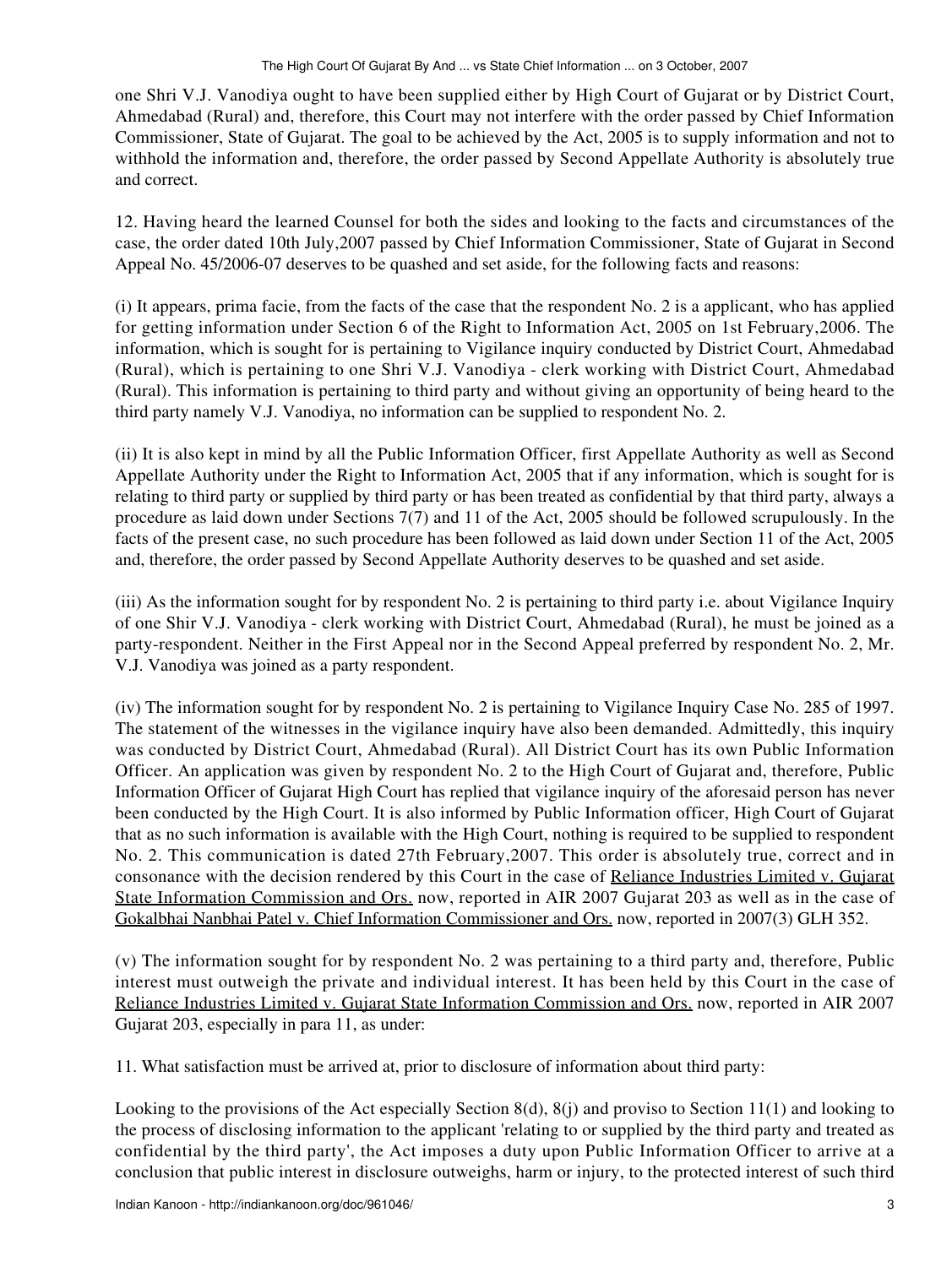one Shri V.J. Vanodiya ought to have been supplied either by High Court of Gujarat or by District Court, Ahmedabad (Rural) and, therefore, this Court may not interfere with the order passed by Chief Information Commissioner, State of Gujarat. The goal to be achieved by the Act, 2005 is to supply information and not to withhold the information and, therefore, the order passed by Second Appellate Authority is absolutely true and correct.

12. Having heard the learned Counsel for both the sides and looking to the facts and circumstances of the case, the order dated 10th July,2007 passed by Chief Information Commissioner, State of Gujarat in Second Appeal No. 45/2006-07 deserves to be quashed and set aside, for the following facts and reasons:

(i) It appears, prima facie, from the facts of the case that the respondent No. 2 is a applicant, who has applied for getting information under Section 6 of the Right to Information Act, 2005 on 1st February,2006. The information, which is sought for is pertaining to Vigilance inquiry conducted by District Court, Ahmedabad (Rural), which is pertaining to one Shri V.J. Vanodiya - clerk working with District Court, Ahmedabad (Rural). This information is pertaining to third party and without giving an opportunity of being heard to the third party namely V.J. Vanodiya, no information can be supplied to respondent No. 2.

(ii) It is also kept in mind by all the Public Information Officer, first Appellate Authority as well as Second Appellate Authority under the Right to Information Act, 2005 that if any information, which is sought for is relating to third party or supplied by third party or has been treated as confidential by that third party, always a procedure as laid down under Sections 7(7) and 11 of the Act, 2005 should be followed scrupulously. In the facts of the present case, no such procedure has been followed as laid down under Section 11 of the Act, 2005 and, therefore, the order passed by Second Appellate Authority deserves to be quashed and set aside.

(iii) As the information sought for by respondent No. 2 is pertaining to third party i.e. about Vigilance Inquiry of one Shir V.J. Vanodiya - clerk working with District Court, Ahmedabad (Rural), he must be joined as a party-respondent. Neither in the First Appeal nor in the Second Appeal preferred by respondent No. 2, Mr. V.J. Vanodiya was joined as a party respondent.

(iv) The information sought for by respondent No. 2 is pertaining to Vigilance Inquiry Case No. 285 of 1997. The statement of the witnesses in the vigilance inquiry have also been demanded. Admittedly, this inquiry was conducted by District Court, Ahmedabad (Rural). All District Court has its own Public Information Officer. An application was given by respondent No. 2 to the High Court of Gujarat and, therefore, Public Information Officer of Gujarat High Court has replied that vigilance inquiry of the aforesaid person has never been conducted by the High Court. It is also informed by Public Information officer, High Court of Gujarat that as no such information is available with the High Court, nothing is required to be supplied to respondent No. 2. This communication is dated 27th February,2007. This order is absolutely true, correct and in consonance with the decision rendered by this Court in the case of Reliance Industries Limited v. Gujarat State Information Commission and Ors. now, reported in AIR 2007 Gujarat 203 as well as in the case of Gokalbhai Nanbhai Patel v. Chief Information Commissioner and Ors. now, reported in 2007(3) GLH 352.

(v) The information sought for by respondent No. 2 was pertaining to a third party and, therefore, Public interest must outweigh the private and individual interest. It has been held by this Court in the case of Reliance Industries Limited v. Gujarat State Information Commission and Ors. now, reported in AIR 2007 Gujarat 203, especially in para 11, as under:

11. What satisfaction must be arrived at, prior to disclosure of information about third party:

Looking to the provisions of the Act especially Section 8(d), 8(j) and proviso to Section 11(1) and looking to the process of disclosing information to the applicant 'relating to or supplied by the third party and treated as confidential by the third party', the Act imposes a duty upon Public Information Officer to arrive at a conclusion that public interest in disclosure outweighs, harm or injury, to the protected interest of such third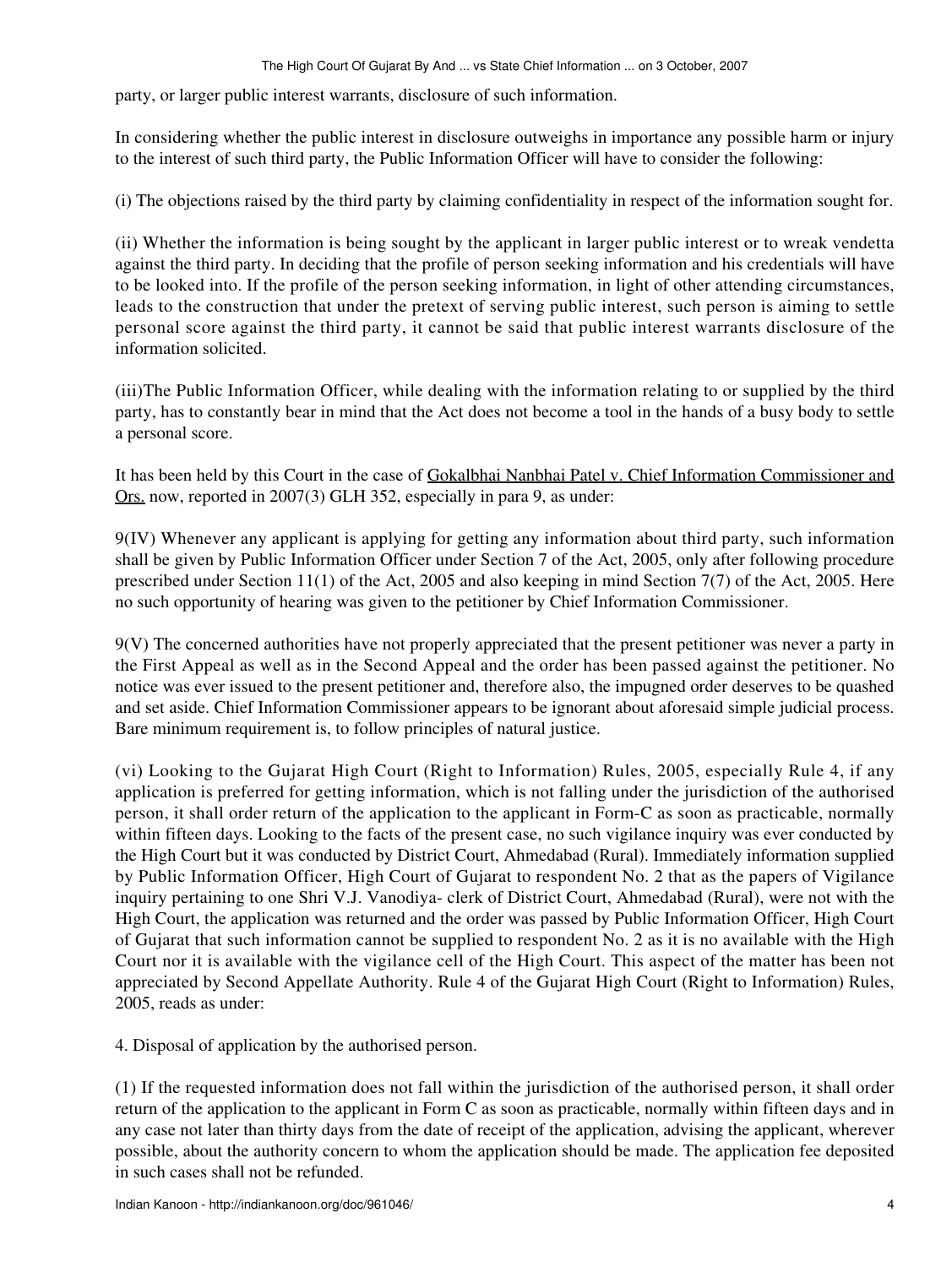party, or larger public interest warrants, disclosure of such information.

In considering whether the public interest in disclosure outweighs in importance any possible harm or injury to the interest of such third party, the Public Information Officer will have to consider the following:

(i) The objections raised by the third party by claiming confidentiality in respect of the information sought for.

(ii) Whether the information is being sought by the applicant in larger public interest or to wreak vendetta against the third party. In deciding that the profile of person seeking information and his credentials will have to be looked into. If the profile of the person seeking information, in light of other attending circumstances, leads to the construction that under the pretext of serving public interest, such person is aiming to settle personal score against the third party, it cannot be said that public interest warrants disclosure of the information solicited.

(iii)The Public Information Officer, while dealing with the information relating to or supplied by the third party, has to constantly bear in mind that the Act does not become a tool in the hands of a busy body to settle a personal score.

It has been held by this Court in the case of Gokalbhai Nanbhai Patel v. Chief Information Commissioner and Ors. now, reported in 2007(3) GLH 352, especially in para 9, as under:

9(IV) Whenever any applicant is applying for getting any information about third party, such information shall be given by Public Information Officer under Section 7 of the Act, 2005, only after following procedure prescribed under Section 11(1) of the Act, 2005 and also keeping in mind Section 7(7) of the Act, 2005. Here no such opportunity of hearing was given to the petitioner by Chief Information Commissioner.

9(V) The concerned authorities have not properly appreciated that the present petitioner was never a party in the First Appeal as well as in the Second Appeal and the order has been passed against the petitioner. No notice was ever issued to the present petitioner and, therefore also, the impugned order deserves to be quashed and set aside. Chief Information Commissioner appears to be ignorant about aforesaid simple judicial process. Bare minimum requirement is, to follow principles of natural justice.

(vi) Looking to the Gujarat High Court (Right to Information) Rules, 2005, especially Rule 4, if any application is preferred for getting information, which is not falling under the jurisdiction of the authorised person, it shall order return of the application to the applicant in Form-C as soon as practicable, normally within fifteen days. Looking to the facts of the present case, no such vigilance inquiry was ever conducted by the High Court but it was conducted by District Court, Ahmedabad (Rural). Immediately information supplied by Public Information Officer, High Court of Gujarat to respondent No. 2 that as the papers of Vigilance inquiry pertaining to one Shri V.J. Vanodiya- clerk of District Court, Ahmedabad (Rural), were not with the High Court, the application was returned and the order was passed by Public Information Officer, High Court of Gujarat that such information cannot be supplied to respondent No. 2 as it is no available with the High Court nor it is available with the vigilance cell of the High Court. This aspect of the matter has been not appreciated by Second Appellate Authority. Rule 4 of the Gujarat High Court (Right to Information) Rules, 2005, reads as under:

4. Disposal of application by the authorised person.

(1) If the requested information does not fall within the jurisdiction of the authorised person, it shall order return of the application to the applicant in Form C as soon as practicable, normally within fifteen days and in any case not later than thirty days from the date of receipt of the application, advising the applicant, wherever possible, about the authority concern to whom the application should be made. The application fee deposited in such cases shall not be refunded.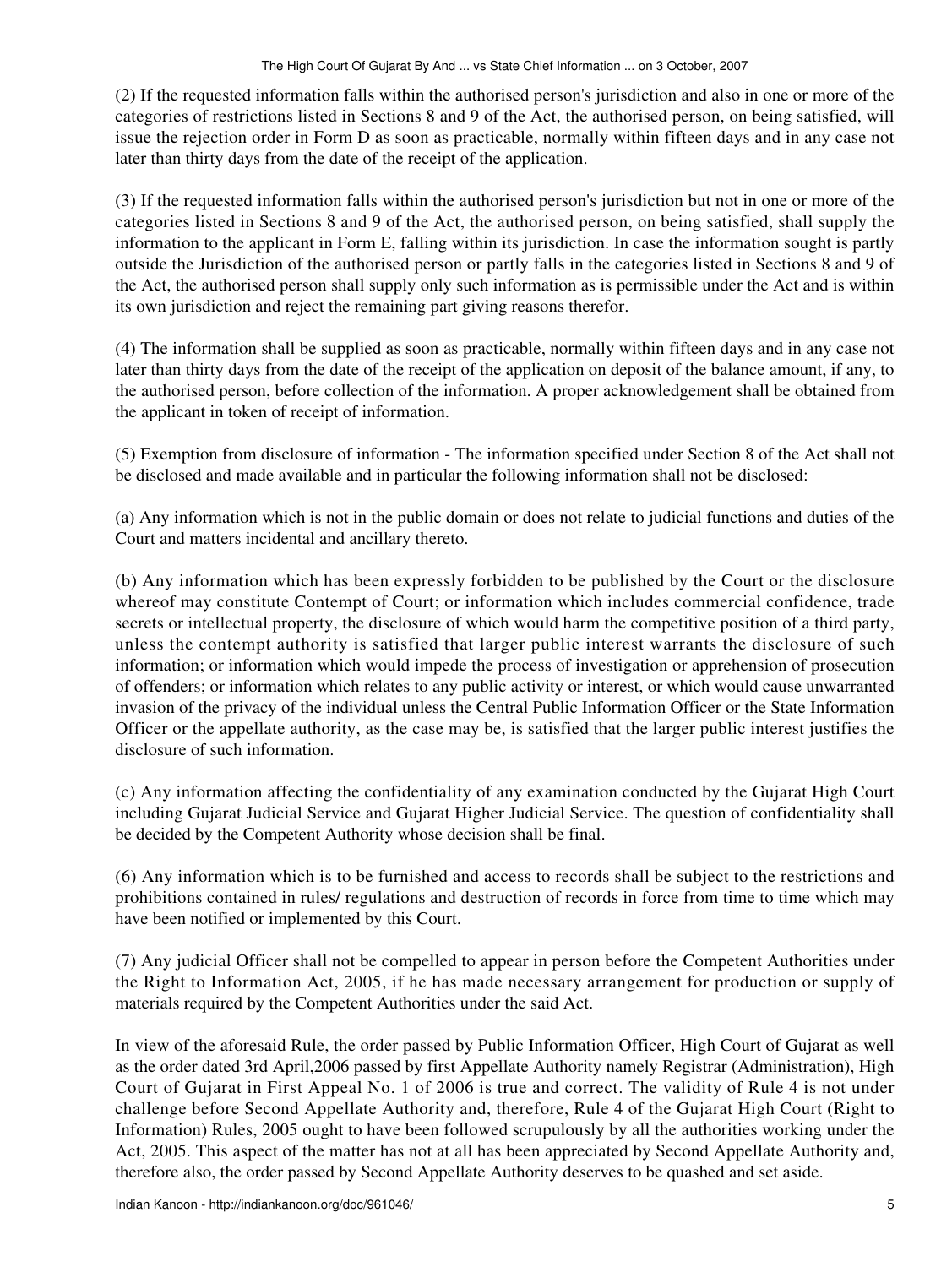(2) If the requested information falls within the authorised person's jurisdiction and also in one or more of the categories of restrictions listed in Sections 8 and 9 of the Act, the authorised person, on being satisfied, will issue the rejection order in Form D as soon as practicable, normally within fifteen days and in any case not later than thirty days from the date of the receipt of the application.

(3) If the requested information falls within the authorised person's jurisdiction but not in one or more of the categories listed in Sections 8 and 9 of the Act, the authorised person, on being satisfied, shall supply the information to the applicant in Form E, falling within its jurisdiction. In case the information sought is partly outside the Jurisdiction of the authorised person or partly falls in the categories listed in Sections 8 and 9 of the Act, the authorised person shall supply only such information as is permissible under the Act and is within its own jurisdiction and reject the remaining part giving reasons therefor.

(4) The information shall be supplied as soon as practicable, normally within fifteen days and in any case not later than thirty days from the date of the receipt of the application on deposit of the balance amount, if any, to the authorised person, before collection of the information. A proper acknowledgement shall be obtained from the applicant in token of receipt of information.

(5) Exemption from disclosure of information - The information specified under Section 8 of the Act shall not be disclosed and made available and in particular the following information shall not be disclosed:

(a) Any information which is not in the public domain or does not relate to judicial functions and duties of the Court and matters incidental and ancillary thereto.

(b) Any information which has been expressly forbidden to be published by the Court or the disclosure whereof may constitute Contempt of Court; or information which includes commercial confidence, trade secrets or intellectual property, the disclosure of which would harm the competitive position of a third party, unless the contempt authority is satisfied that larger public interest warrants the disclosure of such information; or information which would impede the process of investigation or apprehension of prosecution of offenders; or information which relates to any public activity or interest, or which would cause unwarranted invasion of the privacy of the individual unless the Central Public Information Officer or the State Information Officer or the appellate authority, as the case may be, is satisfied that the larger public interest justifies the disclosure of such information.

(c) Any information affecting the confidentiality of any examination conducted by the Gujarat High Court including Gujarat Judicial Service and Gujarat Higher Judicial Service. The question of confidentiality shall be decided by the Competent Authority whose decision shall be final.

(6) Any information which is to be furnished and access to records shall be subject to the restrictions and prohibitions contained in rules/ regulations and destruction of records in force from time to time which may have been notified or implemented by this Court.

(7) Any judicial Officer shall not be compelled to appear in person before the Competent Authorities under the Right to Information Act, 2005, if he has made necessary arrangement for production or supply of materials required by the Competent Authorities under the said Act.

In view of the aforesaid Rule, the order passed by Public Information Officer, High Court of Gujarat as well as the order dated 3rd April,2006 passed by first Appellate Authority namely Registrar (Administration), High Court of Gujarat in First Appeal No. 1 of 2006 is true and correct. The validity of Rule 4 is not under challenge before Second Appellate Authority and, therefore, Rule 4 of the Gujarat High Court (Right to Information) Rules, 2005 ought to have been followed scrupulously by all the authorities working under the Act, 2005. This aspect of the matter has not at all has been appreciated by Second Appellate Authority and, therefore also, the order passed by Second Appellate Authority deserves to be quashed and set aside.